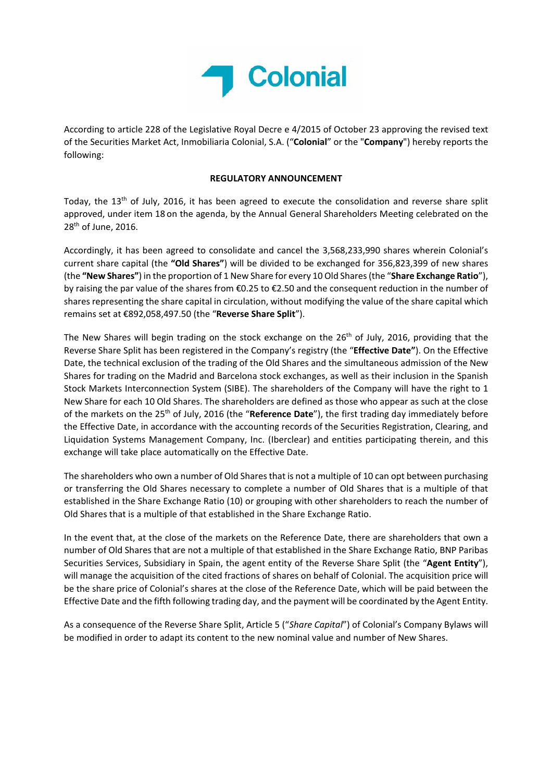

According to article 228 of the Legislative Royal Decre e 4/2015 of October 23 approving the revised text of the Securities Market Act, Inmobiliaria Colonial, S.A. ("**Colonial**" or the "**Company**") hereby reports the following:

## **REGULATORY ANNOUNCEMENT**

Today, the 13<sup>th</sup> of July, 2016, it has been agreed to execute the consolidation and reverse share split approved, under item 18 on the agenda, by the Annual General Shareholders Meeting celebrated on the 28<sup>th</sup> of June, 2016.

Accordingly, it has been agreed to consolidate and cancel the 3,568,233,990 shares wherein Colonial's current share capital (the **"Old Shares"**) will be divided to be exchanged for 356,823,399 of new shares (the **"New Shares"**) in the proportion of 1 New Share for every 10 Old Shares(the "**Share Exchange Ratio**"), by raising the par value of the shares from €0.25 to €2.50 and the consequent reduction in the number of shares representing the share capital in circulation, without modifying the value of the share capital which remains set at €892,058,497.50 (the "**Reverse Share Split**").

The New Shares will begin trading on the stock exchange on the 26<sup>th</sup> of July, 2016, providing that the Reverse Share Split has been registered in the Company's registry (the "**Effective Date"**). On the Effective Date, the technical exclusion of the trading of the Old Shares and the simultaneous admission of the New Shares for trading on the Madrid and Barcelona stock exchanges, as well as their inclusion in the Spanish Stock Markets Interconnection System (SIBE). The shareholders of the Company will have the right to 1 New Share for each 10 Old Shares. The shareholders are defined as those who appear as such at the close of the markets on the 25th of July, 2016 (the "**Reference Date**"), the first trading day immediately before the Effective Date, in accordance with the accounting records of the Securities Registration, Clearing, and Liquidation Systems Management Company, Inc. (Iberclear) and entities participating therein, and this exchange will take place automatically on the Effective Date.

The shareholders who own a number of Old Shares that is not a multiple of 10 can opt between purchasing or transferring the Old Shares necessary to complete a number of Old Shares that is a multiple of that established in the Share Exchange Ratio (10) or grouping with other shareholders to reach the number of Old Shares that is a multiple of that established in the Share Exchange Ratio.

In the event that, at the close of the markets on the Reference Date, there are shareholders that own a number of Old Shares that are not a multiple of that established in the Share Exchange Ratio, BNP Paribas Securities Services, Subsidiary in Spain, the agent entity of the Reverse Share Split (the "**Agent Entity**"), will manage the acquisition of the cited fractions of shares on behalf of Colonial. The acquisition price will be the share price of Colonial's shares at the close of the Reference Date, which will be paid between the Effective Date and the fifth following trading day, and the payment will be coordinated by the Agent Entity.

As a consequence of the Reverse Share Split, Article 5 ("*Share Capital*") of Colonial's Company Bylaws will be modified in order to adapt its content to the new nominal value and number of New Shares.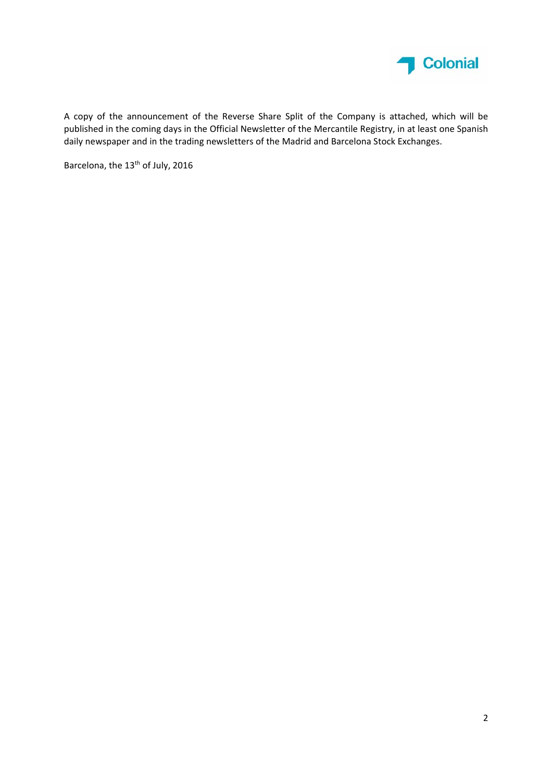

A copy of the announcement of the Reverse Share Split of the Company is attached, which will be published in the coming days in the Official Newsletter of the Mercantile Registry, in at least one Spanish daily newspaper and in the trading newsletters of the Madrid and Barcelona Stock Exchanges.

Barcelona, the 13<sup>th</sup> of July, 2016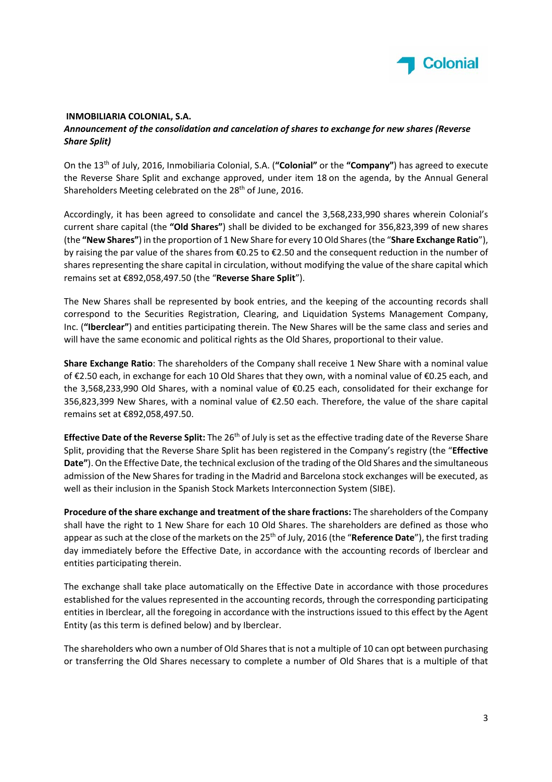

## **INMOBILIARIA COLONIAL, S.A.** *Announcement of the consolidation and cancelation of shares to exchange for new shares (Reverse Share Split)*

On the 13th of July, 2016, Inmobiliaria Colonial, S.A. (**"Colonial"** or the **"Company"**) has agreed to execute the Reverse Share Split and exchange approved, under item 18 on the agenda, by the Annual General Shareholders Meeting celebrated on the 28<sup>th</sup> of June, 2016.

Accordingly, it has been agreed to consolidate and cancel the 3,568,233,990 shares wherein Colonial's current share capital (the **"Old Shares"**) shall be divided to be exchanged for 356,823,399 of new shares (the **"New Shares"**) in the proportion of 1 New Share for every 10 Old Shares(the "**Share Exchange Ratio**"), by raising the par value of the shares from €0.25 to €2.50 and the consequent reduction in the number of shares representing the share capital in circulation, without modifying the value of the share capital which remains set at €892,058,497.50 (the "**Reverse Share Split**").

The New Shares shall be represented by book entries, and the keeping of the accounting records shall correspond to the Securities Registration, Clearing, and Liquidation Systems Management Company, Inc. (**"Iberclear"**) and entities participating therein. The New Shares will be the same class and series and will have the same economic and political rights as the Old Shares, proportional to their value.

**Share Exchange Ratio**: The shareholders of the Company shall receive 1 New Share with a nominal value of €2.50 each, in exchange for each 10 Old Shares that they own, with a nominal value of €0.25 each, and the 3,568,233,990 Old Shares, with a nominal value of €0.25 each, consolidated for their exchange for 356,823,399 New Shares, with a nominal value of €2.50 each. Therefore, the value of the share capital remains set at €892,058,497.50.

**Effective Date of the Reverse Split:** The 26th of July is set as the effective trading date of the Reverse Share Split, providing that the Reverse Share Split has been registered in the Company's registry (the "**Effective Date"**). On the Effective Date, the technical exclusion of the trading of the Old Shares and the simultaneous admission of the New Shares for trading in the Madrid and Barcelona stock exchanges will be executed, as well as their inclusion in the Spanish Stock Markets Interconnection System (SIBE).

**Procedure of the share exchange and treatment of the share fractions:** The shareholders of the Company shall have the right to 1 New Share for each 10 Old Shares. The shareholders are defined as those who appear as such at the close of the markets on the 25<sup>th</sup> of July, 2016 (the "**Reference Date**"), the first trading day immediately before the Effective Date, in accordance with the accounting records of Iberclear and entities participating therein.

The exchange shall take place automatically on the Effective Date in accordance with those procedures established for the values represented in the accounting records, through the corresponding participating entities in Iberclear, all the foregoing in accordance with the instructions issued to this effect by the Agent Entity (as this term is defined below) and by Iberclear.

The shareholders who own a number of Old Shares that is not a multiple of 10 can opt between purchasing or transferring the Old Shares necessary to complete a number of Old Shares that is a multiple of that